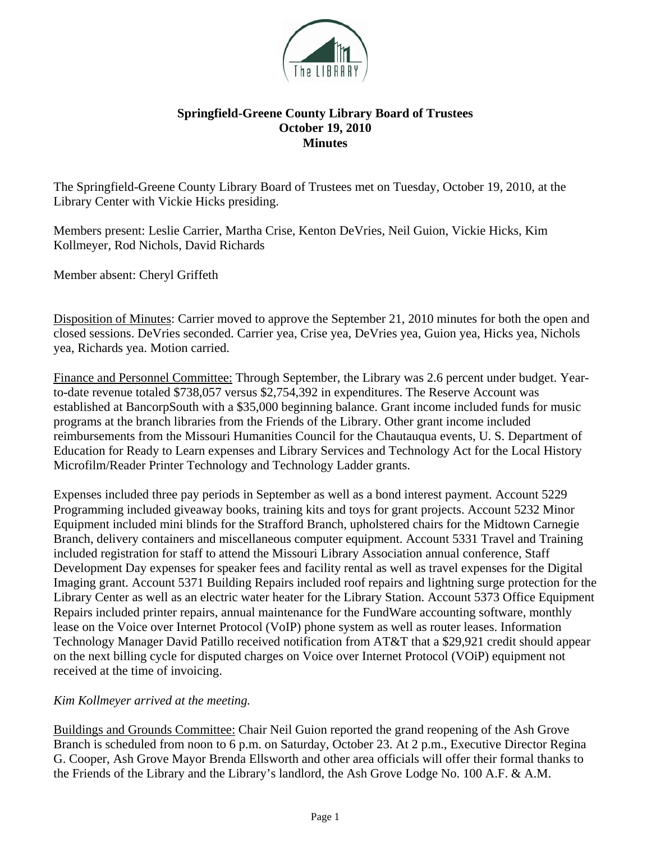

## **Springfield-Greene County Library Board of Trustees October 19, 2010 Minutes**

The Springfield-Greene County Library Board of Trustees met on Tuesday, October 19, 2010, at the Library Center with Vickie Hicks presiding.

Members present: Leslie Carrier, Martha Crise, Kenton DeVries, Neil Guion, Vickie Hicks, Kim Kollmeyer, Rod Nichols, David Richards

Member absent: Cheryl Griffeth

Disposition of Minutes: Carrier moved to approve the September 21, 2010 minutes for both the open and closed sessions. DeVries seconded. Carrier yea, Crise yea, DeVries yea, Guion yea, Hicks yea, Nichols yea, Richards yea. Motion carried.

Finance and Personnel Committee: Through September, the Library was 2.6 percent under budget. Yearto-date revenue totaled \$738,057 versus \$2,754,392 in expenditures. The Reserve Account was established at BancorpSouth with a \$35,000 beginning balance. Grant income included funds for music programs at the branch libraries from the Friends of the Library. Other grant income included reimbursements from the Missouri Humanities Council for the Chautauqua events, U. S. Department of Education for Ready to Learn expenses and Library Services and Technology Act for the Local History Microfilm/Reader Printer Technology and Technology Ladder grants.

Expenses included three pay periods in September as well as a bond interest payment. Account 5229 Programming included giveaway books, training kits and toys for grant projects. Account 5232 Minor Equipment included mini blinds for the Strafford Branch, upholstered chairs for the Midtown Carnegie Branch, delivery containers and miscellaneous computer equipment. Account 5331 Travel and Training included registration for staff to attend the Missouri Library Association annual conference, Staff Development Day expenses for speaker fees and facility rental as well as travel expenses for the Digital Imaging grant. Account 5371 Building Repairs included roof repairs and lightning surge protection for the Library Center as well as an electric water heater for the Library Station. Account 5373 Office Equipment Repairs included printer repairs, annual maintenance for the FundWare accounting software, monthly lease on the Voice over Internet Protocol (VoIP) phone system as well as router leases. Information Technology Manager David Patillo received notification from AT&T that a \$29,921 credit should appear on the next billing cycle for disputed charges on Voice over Internet Protocol (VOiP) equipment not received at the time of invoicing.

## *Kim Kollmeyer arrived at the meeting.*

Buildings and Grounds Committee: Chair Neil Guion reported the grand reopening of the Ash Grove Branch is scheduled from noon to 6 p.m. on Saturday, October 23. At 2 p.m., Executive Director Regina G. Cooper, Ash Grove Mayor Brenda Ellsworth and other area officials will offer their formal thanks to the Friends of the Library and the Library's landlord, the Ash Grove Lodge No. 100 A.F. & A.M.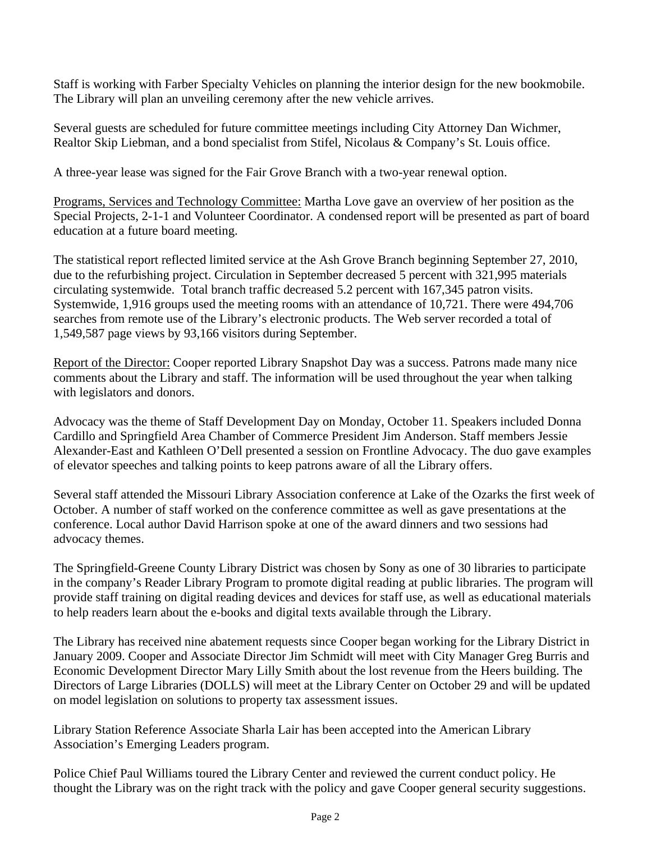Staff is working with Farber Specialty Vehicles on planning the interior design for the new bookmobile. The Library will plan an unveiling ceremony after the new vehicle arrives.

Several guests are scheduled for future committee meetings including City Attorney Dan Wichmer, Realtor Skip Liebman, and a bond specialist from Stifel, Nicolaus & Company's St. Louis office.

A three-year lease was signed for the Fair Grove Branch with a two-year renewal option.

Programs, Services and Technology Committee: Martha Love gave an overview of her position as the Special Projects, 2-1-1 and Volunteer Coordinator. A condensed report will be presented as part of board education at a future board meeting.

The statistical report reflected limited service at the Ash Grove Branch beginning September 27, 2010, due to the refurbishing project. Circulation in September decreased 5 percent with 321,995 materials circulating systemwide. Total branch traffic decreased 5.2 percent with 167,345 patron visits. Systemwide, 1,916 groups used the meeting rooms with an attendance of 10,721. There were 494,706 searches from remote use of the Library's electronic products. The Web server recorded a total of 1,549,587 page views by 93,166 visitors during September.

Report of the Director: Cooper reported Library Snapshot Day was a success. Patrons made many nice comments about the Library and staff. The information will be used throughout the year when talking with legislators and donors.

Advocacy was the theme of Staff Development Day on Monday, October 11. Speakers included Donna Cardillo and Springfield Area Chamber of Commerce President Jim Anderson. Staff members Jessie Alexander-East and Kathleen O'Dell presented a session on Frontline Advocacy. The duo gave examples of elevator speeches and talking points to keep patrons aware of all the Library offers.

Several staff attended the Missouri Library Association conference at Lake of the Ozarks the first week of October. A number of staff worked on the conference committee as well as gave presentations at the conference. Local author David Harrison spoke at one of the award dinners and two sessions had advocacy themes.

The Springfield-Greene County Library District was chosen by Sony as one of 30 libraries to participate in the company's Reader Library Program to promote digital reading at public libraries. The program will provide staff training on digital reading devices and devices for staff use, as well as educational materials to help readers learn about the e-books and digital texts available through the Library.

The Library has received nine abatement requests since Cooper began working for the Library District in January 2009. Cooper and Associate Director Jim Schmidt will meet with City Manager Greg Burris and Economic Development Director Mary Lilly Smith about the lost revenue from the Heers building. The Directors of Large Libraries (DOLLS) will meet at the Library Center on October 29 and will be updated on model legislation on solutions to property tax assessment issues.

Library Station Reference Associate Sharla Lair has been accepted into the American Library Association's Emerging Leaders program.

Police Chief Paul Williams toured the Library Center and reviewed the current conduct policy. He thought the Library was on the right track with the policy and gave Cooper general security suggestions.